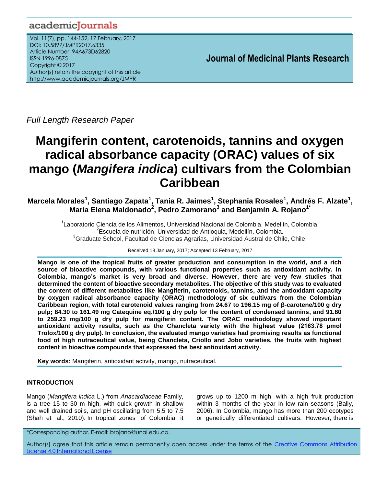## academicJournals

Vol. 11(7), pp. 144-152, 17 February, 2017 DOI: 10.5897/JMPR2017.6335 Article Number: 94A673D62820 ISSN 1996-0875 Copyright © 2017 Author(s) retain the copyright of this article http://www.academicjournals.org/JMPR

 **Journal of Medicinal Plants Research**

*Full Length Research Paper*

# **Mangiferin content, carotenoids, tannins and oxygen radical absorbance capacity (ORAC) values of six mango (***Mangifera indica***) cultivars from the Colombian Caribbean**

**Marcela Morales<sup>1</sup> , Santiago Zapata<sup>1</sup> , Tania R. Jaimes<sup>1</sup> , Stephania Rosales<sup>1</sup> , Andrés F. Alzate<sup>1</sup> , Maria Elena Maldonado<sup>2</sup> , Pedro Zamorano<sup>3</sup> and Benjamín A. Rojano1\***

> <sup>1</sup>Laboratorio Ciencia de los Alimentos, Universidad Nacional de Colombia, Medellín, Colombia. <sup>2</sup>Escuela de nutrición, Universidad de Antioquia, Medellín, Colombia. <sup>3</sup>Graduate School, Facultad de Ciencias Agrarias, Universidad Austral de Chile, Chile.

> > Received 18 January, 2017; Accepted 13 February, 2017

**Mango is one of the tropical fruits of greater production and consumption in the world, and a rich source of bioactive compounds, with various functional properties such as antioxidant activity. In Colombia, mango's market is very broad and diverse. However, there are very few studies that determined the content of bioactive secondary metabolites. The objective of this study was to evaluated the content of different metabolites like Mangiferin, carotenoids, tannins, and the antioxidant capacity by oxygen radical absorbance capacity (ORAC) methodology of six cultivars from the Colombian Caribbean region, with total carotenoid values ranging from 24.67 to 196.15 mg of β-carotene/100 g dry pulp; 84.30 to 161.49 mg Catequine eq./100 g dry pulp for the content of condensed tannins, and 91.80 to 259.23 mg/100 g dry pulp for mangiferin content. The ORAC methodology showed important antioxidant activity results, such as the Chancleta variety with the highest value (2163.78 μmol Trolox/100 g dry pulp). In conclusion, the evaluated mango varieties had promising results as functional food of high nutraceutical value, being Chancleta, Criollo and Jobo varieties, the fruits with highest content in bioactive compounds that expressed the best antioxidant activity.**

**Key words:** Mangiferin, antioxidant activity, mango, nutraceutical.

## **INTRODUCTION**

Mango (*Mangifera indica* L.) from *Anacardiaceae* Family, is a tree 15 to 30 m high, with quick growth in shallow and well drained soils, and pH oscillating from 5.5 to 7.5 (Shah et al., 2010). In tropical zones of Colombia, it grows up to 1200 m high, with a high fruit production within 3 months of the year in low rain seasons (Bally, 2006). In Colombia, mango has more than 200 ecotypes or genetically differentiated cultivars. However, there is

\*Corresponding author. E-mail: brojano@unal.edu.co.

Author(s) agree that this article remain permanently open access under the terms of the Creative Commons Attribution License 4.0 [International](http://creativecommons.org/licenses/by/4.0/deed.en_US) License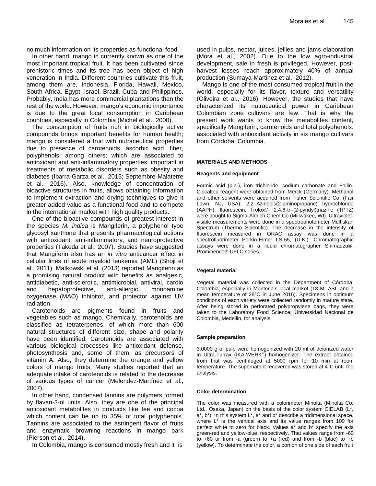no much information on its properties as functional food.

In other hand, mango in currently known as one of the most important tropical fruit. It has been cultivated since prehistoric times and its tree has been object of high veneration in India. Different countries cultivate this fruit, among them are, Indonesia, Florida, Hawaii, Mexico, South Africa, Egypt, Israel, Brazil, Cuba and Philippines. Probably, India has more commercial plantations than the rest of the world. However, mango's economic importance is due to the great local consumption in Caribbean countries, especially in Colombia (Michel et al., 2000).

The consumption of fruits rich in biologically active compounds brings important benefits for human health; mango is considered a fruit with nutraceutical properties due to presence of carotenoids, ascorbic acid, fiber, polyphenols, among others; which are associated to antioxidant and anti-inflammatory properties, important in treatments of metabolic disorders such as obesity and diabetes (Ibarra-Garza et al., 2015; Septembre-Malaterre et al., 2016). Also, knowledge of concentration of bioactive structures in fruits, allows obtaining information to implement extraction and drying techniques to give it greater added value as a functional food and to compete in the international market with high quality products.

One of the bioactive compounds of greatest interest in the species *M. indica* is Mangiferin, a polyphenol type glycosyl xanthone that presents pharmacological actions with antioxidant, anti-inflammatory, and neuroprotective properties (Takeda et al., 2007). Studies have suggested that Mangiferin also has an *in vitro* anticancer effect in cellular lines of acute myeloid leukemia (AML) (Shoji et al., 2011). Matkowski et al. (2013) reported Mangiferin as a promising natural product with benefits as analgesic, antidiabetic, anti-sclerotic, antimicrobial, antiviral, cardio and hepatoprotective, anti-allergic, monoamine oxygenase (MAO) inhibitor, and protector against UV radiation.

Carotenoids are pigments found in fruits and vegetables such as mango. Chemically, carotenoids are classified as tetraterpenes, of which more than 600 natural structures of different size, shape and polarity have been identified. Carotenoids are associated with various biological processes like antioxidant defense, photosynthesis and, some of them, as precursors of vitamin A. Also, they determine the orange and yellow colors of mango fruits. Many studies reported that an adequate intake of carotenoids is related to the decrease of various types of cancer (Melendez-Martínez et al., 2007).

In other hand, condensed tannins are polymers formed by flavan-3-ol units. Also, they are one of the principal antioxidant metabolites in products like tee and cocoa which content can be up to 35% of total polyphenols. Tannins are associated to the astringent flavor of fruits and enzymatic browning reactions in mango bark (Pierson et al., 2014).

In Colombia, mango is consumed mostly fresh and it is

used in pulps, nectar, juices, jellies and jams elaboration (Mora et al., 2002). Due to the low agro-industrial development, sale in fresh is privileged. However, postharvest losses reach approximately 40% of annual production (Sumaya-Martinez et al., 2012).

Mango is one of the most consumed tropical fruit in the world, especially for its flavor, texture and versatility (Oliveira et al., 2016). However, the studies that have characterized its nutraceutical power in Caribbean Colombian zone cultivars are few. That is why the present work wants to know the metabolites content, specifically Mangiferin, carotenoids and total polyphenols, associated with antioxidant activity in six mango cultivars from Córdoba, Colombia.

#### **MATERIALS AND METHODS**

#### **Reagents and equipment**

Formic acid (p.a.), iron trichloride, sodium carbonate and Follin-Ciocalteu reagent were obtained from Merck (Germany). Methanol and other solvents were acquired from Fisher Scientific Co. (Fair Lawn, NJ, USA); 2,2'-Azinobis(2-aminopropane) hydrochloride (AAPH), fluorescein, Trolox®, 2,4,6-tri-(2-pyridyl)triazine (TPTZ) were bought to Sigma-Aldrich Chem.Co (Millwakee, WI). Ultravioletvisible measurements were done in a spectrophotometer Multiskan Spectrum (Thermo Scientific). The decrease in the intensity of fluorescein measured in ORAC assay was done in a spectrofluorimeter Perkin-Elmer LS-55, (U.K.). Chromatographic assays were done in a liquid chromatographer Shimadzu®, Prominence® UFLC series.

### **Vegetal material**

Vegetal material was collected in the Department of Córdoba, Colombia, especially in Monteria's local market (18 M. ASL and a mean temperature of 28°C in June 2016). Specimens in optimum conditions of each variety were collected randomly in mature state. After being stored in perforated polypropylene bags, they were taken to the Laboratory Food Science, Universidad Nacional de Colombia, Medellin, for analysis.

#### **Sample preparation**

3.0000 g of pulp were homogenized with 20 ml of deionized water in Ultra-Turrax (IKA-WERK<sup>®</sup>) homogenizer. The extract obtained from that was centrifuged at 5000 rpm for 10 min at room temperature. The supernatant recovered was stored at 4°C until the analysis.

#### **Color determination**

The color was measured with a colorimeter Minolta (Minolta Co. Ltd., Osaka, Japan) on the basis of the color system CIELAB (L\*,  $a^*$ ,  $b^*$ ). In this system  $L^*$ ,  $a^*$  and  $b^*$  describe a tridimensional space, where  $L^*$  is the vertical axis and its value ranges from 100 for perfect white to zero for black. Values a\* and b\* specify the axis green-red and yellow-blue, respectively. That values range from -60 to  $+60$  or from -a (green) to  $+a$  (red) and from -b (blue) to  $+b$ (yellow). To determinate the color, a portion of one side of each fruit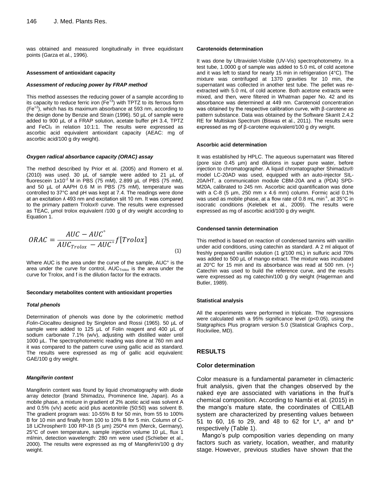was obtained and measured longitudinally in three equidistant points (Garza et al., 1996).

#### **Assessment of antioxidant capacity**

#### *Assessment of reducing power by FRAP method*

This method assesses the reducing power of a sample according to its capacity to reduce ferric iron  $(Fe^{+3})$  with TPTZ to its ferrous form  $(Fe^{+2})$ , which has its maximum absorbance at 593 nm, according to the design done by Benzie and Strain (1996). 50 µL of sample were added to 900 µL of a FRAP solution, acetate buffer pH 3.4, TPTZ and FeCl $_3$  in relation 10:1:1. The results were expressed as ascorbic acid equivalent antioxidant capacity (AEAC: mg of ascorbic acid/100 g dry weight).

#### *Oxygen radical absorbance capacity (ORAC) assay*

The method described by Prior et al. (2005) and Romero et al. (2010) was used. 30 µL of sample were added to 21 µL of fluorescein  $1x10^{-2}$  M in PBS (75 mM), 2.899 µL of PBS (75 mM), and 50 µL of AAPH 0.6 M in PBS (75 mM), temperature was controlled to 37°C and pH was kept at 7.4. The readings were done at an excitation ʎ 493 nm and excitation slit 10 nm. It was compared to the primary pattern Trolox® curve. The results were expressed as TEAC, µmol trolox equivalent /100 g of dry weight according to Equation 1.

$$
ORAC = \frac{AUC - AUC^{\circ}}{AUC_{Trolox} - AUC^{\circ}} f[Trolox]
$$
\n(1)

Where AUC is the area under the curve of the sample, AUC° is the area under the curve for control,  $AUC<sub>Trolox</sub>$  is the area under the curve for Trolox, and f is the dilution factor for the extracts.

#### **Secondary metabolites content with antioxidant properties**

#### *Total phenols*

Determination of phenols was done by the colorimetric method *Folin-Ciocalteu* designed by Singleton and Rossi (1965). 50 µL of sample were added to 125 µL of Folin reagent and 400 µL of sodium carbonate 7.1% (w/v), adjusting with distilled water until 1000 µL. The spectrophotometric reading was done at 760 nm and it was compared to the pattern curve using gallic acid as standard. The results were expressed as mg of gallic acid equivalent: GAE/100 g dry weight.

#### *Mangiferin content*

Mangiferin content was found by liquid chromatography with diode array detector (brand Shimadzu, Prominence line, Japan). As a mobile phase, a mixture in gradient of 2% acetic acid was solvent A and 0.5% (v/v) acetic acid plus acetonitrile (50:50) was solvent B. The gradient program was: 10-55% B for 50 min, from 55 to 100% B for 10 min and finally from 100 to 10% B for 5 min. Column of C-18 LiChrospher® 100 RP-18 (5 µm) 250\*4 mm (Merck, Germany), 25°C of oven temperature, sample injection volume 10 µL, flux 1 ml/min, detection wavelength: 280 nm were used (Schieber et al., 2000). The results were expressed as mg of Mangiferin/100 g dry weight.

#### **Carotenoids determination**

It was done by Ultraviolet-Visible (UV-Vis) spectrophotometry. In a test tube, 1.0000 g of sample was added to 5.0 mL of cold acetone and it was left to stand for nearly 15 min in refrigeration (4°C). The mixture was centrifuged at 1370 gravities for 10 min, the supernatant was collected in another test tube. The pellet was reextracted with 5.0 mL of cold acetone. Both acetone extracts were mixed, and then, were filtered in Whatman paper No. 42 and its absorbance was determined at 449 nm. Carotenoid concentration was obtained by the respective calibration curve, with β-carotene as pattern substance. Data was obtained by the Software SkanIt 2.4.2 RE for Multiskan Spectrum (Biswas et al., 2011). The results were expressed as mg of β-carotene equivalent/100 g dry weight.

#### **Ascorbic acid determination**

It was established by HPLC. The aqueous supernatant was filtered (pore size 0.45 µm) and dilutions in super pure water, before injection to chromatographer. A liquid chromatographer Shimadzu® model LC-20AD was used, equipped with an auto-injector SIL-20A/HT, a communication module CBM-20A and a (PDA) SPD-M20A, calibrated to 245 nm. Ascorbic acid quantification was done with a C-8 (5  $\mu$ m, 250 mm x 4.6 mm) column. Formic acid 0.1% was used as mobile phase, at a flow rate of 0.8 mL min<sup>-1</sup>, at 35°C in isocratic conditions (Kelebek et al., 2009). The results were expressed as mg of ascorbic acid/100 g dry weight.

#### **Condensed tannin determination**

This method is based on reaction of condensed tannins with vanillin under acid conditions, using catechin as standard. A 2 ml aliquot of freshly prepared vanillin solution (1 g/100 mL) in sulfuric acid 70% was added to 500 µL of mango extract. The mixture was incubated at 20°C for 15 min and its absorbance was read at 500 nm. (+) Catechin was used to build the reference curve, and the results were expressed as mg catechin/100 g dry weight (Hagerman and Butler, 1989).

#### **Statistical analysis**

All the experiments were performed in triplicate. The regressions were calculated with a 95% significance level (p<0.05), using the Statgraphics Plus program version 5.0 (Statistical Graphics Corp., Rockvilee, MD).

#### **RESULTS**

#### **Color determination**

Color measure is a fundamental parameter in climacteric fruit analysis, given that the changes observed by the naked eye are associated with variations in the fruit's chemical composition. According to Nambi et al. (2015) in the mango's mature state, the coordinates of CIELAB system are characterized by presenting values between 51 to 60, 16 to 29, and 48 to 62 for L\*, a\* and b\* respectively (Table 1).

Mango's pulp composition varies depending on many factors such as variety, location, weather, and maturity stage. However, previous studies have shown that the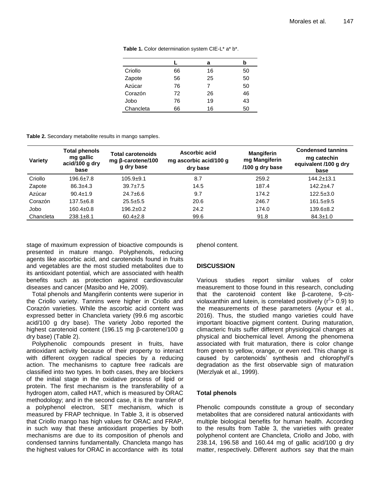|           |    | а  | b  |
|-----------|----|----|----|
| Criollo   | 66 | 16 | 50 |
| Zapote    | 56 | 25 | 50 |
| Azúcar    | 76 | 7  | 50 |
| Corazón   | 72 | 26 | 46 |
| Jobo      | 76 | 19 | 43 |
| Chancleta | 66 | 16 | 50 |

Table 1. Color determination system CIE-L<sup>\*</sup> a<sup>\*</sup> b<sup>\*</sup>.

| Variety   | <b>Total phenols</b><br>mg gallic<br>acid/100 g dry<br>base | Total carotenoids<br>mg β-carotene/100<br>g dry base | Ascorbic acid<br>mg ascorbic acid/100 g<br>dry base | <b>Mangiferin</b><br>mg Mangiferin<br>/100 g dry base | <b>Condensed tannins</b><br>mg catechin<br>equivalent /100 g dry<br>base |
|-----------|-------------------------------------------------------------|------------------------------------------------------|-----------------------------------------------------|-------------------------------------------------------|--------------------------------------------------------------------------|
| Criollo   | $196.6 \pm 7.8$                                             | $105.9 + 9.1$                                        | 8.7                                                 | 259.2                                                 | $144.2 \pm 13.1$                                                         |
| Zapote    | $86.3 \pm 4.3$                                              | $39.7 \pm 7.5$                                       | 14.5                                                | 187.4                                                 | $142.2 + 4.7$                                                            |
| Azúcar    | $90.4 \pm 1.9$                                              | $24.7 \pm 6.6$                                       | 9.7                                                 | 174.2                                                 | $122.5 \pm 3.0$                                                          |
| Corazón   | $137.5 + 6.8$                                               | $25.5 + 5.5$                                         | 20.6                                                | 246.7                                                 | $161.5+9.5$                                                              |
| Jobo      | $160.4 \pm 0.8$                                             | $196.2 \pm 0.2$                                      | 24.2                                                | 174.0                                                 | $139.6 + 8.2$                                                            |
| Chancleta | $238.1 \pm 8.1$                                             | $60.4 \pm 2.8$                                       | 99.6                                                | 91.8                                                  | $84.3 \pm 1.0$                                                           |

stage of maximum expression of bioactive compounds is presented in mature mango. Polyphenols, reducing agents like ascorbic acid, and carotenoids found in fruits and vegetables are the most studied metabolites due to its antioxidant potential, which are associated with health benefits such as protection against cardiovascular diseases and cancer (Masibo and He, 2009).

Total phenols and Mangiferin contents were superior in the Criollo variety. Tannins were higher in Criollo and Corazón varieties. While the ascorbic acid content was expressed better in Chancleta variety (99.6 mg ascorbic acid/100 g dry base). The variety Jobo reported the highest carotenoid content (196.15 mg β-carotene/100 g dry base) (Table 2).

Polyphenolic compounds present in fruits, have antioxidant activity because of their property to interact with different oxygen radical species by a reducing action. The mechanisms to capture free radicals are classified into two types. In both cases, they are blockers of the initial stage in the oxidative process of lipid or protein. The first mechanism is the transferability of a hydrogen atom, called HAT, which is measured by ORAC methodology; and in the second case, it is the transfer of a polyphenol electron, SET mechanism, which is measured by FRAP technique. In Table 3, it is observed that Criollo mango has high values for ORAC and FRAP, in such way that these antioxidant properties by both mechanisms are due to its composition of phenols and condensed tannins fundamentally. Chancleta mango has the highest values for ORAC in accordance with its total

phenol content.

## **DISCUSSION**

Various studies report similar values of color measurement to those found in this research, concluding that the carotenoid content like β-carotene, 9-*cis*violaxanthin and lutein, is correlated positively ( $r^2$ > 0.9) to the measurements of these parameters (Ayour et al., 2016). Thus, the studied mango varieties could have important bioactive pigment content. During maturation, climacteric fruits suffer different physiological changes at physical and biochemical level. Among the phenomena associated with fruit maturation, there is color change from green to yellow, orange, or even red. This change is caused by carotenoids' synthesis and chlorophyll's degradation as the first observable sign of maturation (Merzlyak et al., 1999).

## **Total phenols**

Phenolic compounds constitute a group of secondary metabolites that are considered natural antioxidants with multiple biological benefits for human health. According to the results from Table 3, the varieties with greater polyphenol content are Chancleta, Criollo and Jobo, with 238.14, 196.58 and 160.44 mg of gallic acid/100 g dry matter, respectively. Different authors say that the main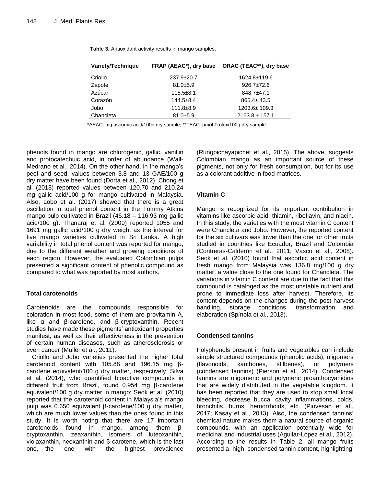| Variety/Technique | FRAP (AEAC*), dry base | ORAC (TEAC**), dry base |
|-------------------|------------------------|-------------------------|
| Criollo           | $237.9 \pm 20.7$       | 1624.8±119.6            |
| Zapote            | $81.0 + 5.9$           | $926.7 \pm 72.6$        |
| Azúcar            | $115.5 + 8.1$          | 848.7±47.1              |
| Corazón           | $144.5 \pm 8.4$        | $865.4 \pm 43.5$        |
| Jobo              | $111.8 + 8.9$          | $1203.6 \pm 109.3$      |
| Chancleta         | $81.0 + 5.9$           | $2163.8 \pm 157.1$      |

**Table 3.** Antioxidant activity results in mango samples.

\*AEAC: mg ascorbic acid/100g dry sample; \*\*TEAC: µmol Trolox/100g dry sample.

phenols found in mango are chlorogenic, gallic, vanillin and protocatechuic acid, in order of abundance (Wall-Medrano et al., 2014). On the other hand, in the mango's peel and seed, values between 3.8 and 13 GAE/100 g dry matter have been found (Dorta et al., 2012). Chong et al. (2013) reported values between 120.70 and 210.24 mg gallic acid/100 g for mango cultivated in Malaysia. Also, Lobo et al. (2017) showed that there is a great oscillation in total phenol content in the Tommy Atkins mango pulp cultivated in Brazil (46.18 – 116.93 mg gallic acid/100 g). Thanaraj et al. (2009) reported 1055 and 1691 mg gallic acid/100 g dry weight as the interval for five mango varieties cultivated in Sri Lanka. A high variability in total phenol content was reported for mango, due to the different weather and growing conditions of each region. However, the evaluated Colombian pulps presented a significant content of phenolic compound as compared to what was reported by most authors.

## **Total carotenoids**

Carotenoids are the compounds responsible for coloration in most food, some of them are provitamin A, like α and β-carotene, and β-cryptoxanthin. Recent studies have made these pigments' antioxidant properties manifest, as well as their effectiveness in the prevention of certain human diseases, such as atherosclerosis or even cancer (Müller et al., 2011).

Criollo and Jobo varieties presented the higher total carotenoid content with 105.88 and 196.15 mg βcarotene equivalent/100 g dry matter, respectively. Silva et al. (2014), who quantified bioactive compounds in different fruit from Brazil, found 0.954 mg β-carotene equivalent/100 g dry matter in mango; Seok et al. (2010) reported that the carotenoid content in Malaysia's mango pulp was 0.650 equivalent β-carotene/100 g dry matter, which are much lower values than the ones found in this study. It is worth noting that there are 17 important carotenoids found in mango, among them βcryptoxanthin, zeaxanthin, isomers of luteoxanthin, violaxanthin, neoxanthin and β-carotene, which is the last one, the one with the highest prevalence

(Rungpichayapichet et al., 2015). The above, suggests Colombian mango as an important source of these pigments, not only for fresh consumption, but for its use as a colorant additive in food matrices.

## **Vitamin C**

Mango is recognized for its important contribution in vitamins like ascorbic acid, thiamin, riboflavin, and niacin. In this study, the varieties with the most vitamin C content were Chancleta and Jobo. However, the reported content for the six cultivars was lower than the one for other fruits studied in countries like Ecuador, Brazil and Colombia (Contreras-Calderón et al., 2011; Vasco et al., 2008). Seok et al. (2010) found that ascorbic acid content in fresh mango from Malaysia was 136.8 mg/100 g dry matter, a value close to the one found for Chancleta. The variations in vitamin C content are due to the fact that this compound is cataloged as the most unstable nutrient and prone to immediate loss after harvest. Therefore, its content depends on the changes during the post-harvest handling, storage conditions, transformation and elaboration (Spínola et al., 2013).

## **Condensed tannins**

Polyphenols present in fruits and vegetables can include simple structured compounds (phenolic acids), oligomers (flavonoids, xanthones, stilbenes), or polymers (condensed tannins) (Pierson et al., 2014). Condensed tannins are oligomeric and polymeric proanthocyanidins that are widely distributed in the vegetable kingdom. It has been reported that they are used to stop small local bleeding, decrease buccal cavity inflammations, colds, bronchitis, burns, hemorrhoids, etc. (Piovesan et al., 2017; Kasay et al., 2013). Also, the condensed tannins' chemical nature makes them a natural source of organic compounds, with an application potentially wide for medicinal and industrial uses (Aguilar-López et al., 2012). According to the results in Table 2, all mango fruits presented a high condensed tannin content, highlighting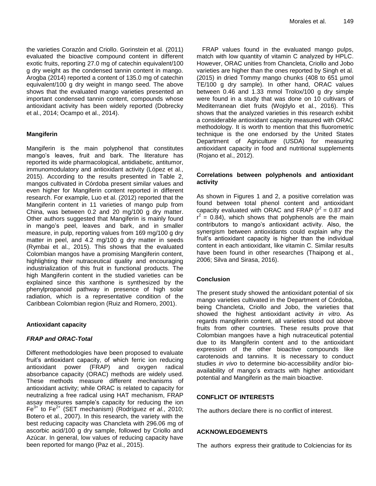the varieties Corazón and Criollo. Gorinstein et al. (2011) evaluated the bioactive compound content in different exotic fruits, reporting 27.0 mg of catechin equivalent/100 g dry weight as the condensed tannin content in mango. Arogba (2014) reported a content of 135.0 mg of catechin equivalent/100 g dry weight in mango seed. The above shows that the evaluated mango varieties presented an important condensed tannin content, compounds whose antioxidant activity has been widely reported (Dobrecky et al., 2014; Ocampo et al., 2014).

## **Mangiferin**

Mangiferin is the main polyphenol that constitutes mango's leaves, fruit and bark. The literature has reported its wide pharmacological, antidiabetic, antitumor, immunomodulatory and antioxidant activity (López et al., 2015). According to the results presented in Table 2, mangos cultivated in Córdoba present similar values and even higher for Mangiferin content reported in different research. For example, Luo et al. (2012) reported that the Mangiferin content in 11 varieties of mango pulp from China, was between 0.2 and 20 mg/100 g dry matter. Other authors suggested that Mangiferin is mainly found in mango's peel, leaves and bark, and in smaller measure, in pulp, reporting values from 169 mg/100 g dry matter in peel, and 4.2 mg/100 g dry matter in seeds (Rymbai et al., 2015). This shows that the evaluated Colombian mangos have a promising Mangiferin content, highlighting their nutraceutical quality and encouraging industrialization of this fruit in functional products. The high Mangiferin content in the studied varieties can be explained since this xanthone is synthesized by the phenylpropanoid pathway in presence of high solar radiation, which is a representative condition of the Caribbean Colombian region (Ruiz and Romero, 2001).

## **Antioxidant capacity**

## *FRAP and ORAC-Total*

Different methodologies have been proposed to evaluate fruit's antioxidant capacity, of which ferric ion reducing antioxidant power (FRAP) and oxygen radical absorbance capacity (ORAC) methods are widely used. These methods measure different mechanisms of antioxidant activity; while ORAC is related to capacity for neutralizing a free radical using HAT mechanism, FRAP assay measures sample's capacity for reducing the ion Fe3+ to Fe2+ (SET mechanism) (Rodríguez *et al.*, 2010; Botero et al., 2007). In this research, the variety with the best reducing capacity was Chancleta with 296.06 mg of ascorbic acid/100 g dry sample, followed by Criollo and Azúcar. In general, low values of reducing capacity have been reported for mango (Paz et al., 2015).

FRAP values found in the evaluated mango pulps, match with low quantity of vitamin C analyzed by HPLC. However, ORAC unities from Chancleta, Criollo and Jobo varieties are higher than the ones reported by Singh et al. (2015) in dried Tommy mango chunks (408 to 651 µmol TE/100 g dry sample). In other hand, ORAC values between 0.46 and 1.33 mmol Trolox/100 g dry simple were found in a study that was done on 10 cultivars of Mediterranean diet fruits (Wojdylo et al., 2016). This shows that the analyzed varieties in this research exhibit a considerable antioxidant capacity measured with ORAC methodology. It is worth to mention that this fluorometric technique is the one endorsed by the United States Department of Agriculture (USDA) for measuring antioxidant capacity in food and nutritional supplements (Rojano et al., 2012).

## **Correlations between polyphenols and antioxidant activity**

As shown in Figures 1 and 2, a positive correlation was found between total phenol content and antioxidant capacity evaluated with ORAC and FRAP  $(r^2 = 0.87$  and  $r^2 = 0.84$ ), which shows that polyphenols are the main contributors to mango's antioxidant activity. Also, the synergism between antioxidants could explain why the fruit's antioxidant capacity is higher than the individual content in each antioxidant, like vitamin C. Similar results have been found in other researches (Thaipong et al., 2006; Silva and Sirasa, 2016).

## **Conclusion**

The present study showed the antioxidant potential of six mango varieties cultivated in the Department of Córdoba, being Chancleta, Criollo and Jobo, the varieties that showed the highest antioxidant activity *in vitro.* As regards mangiferin content, all varieties stood out above fruits from other countries. These results prove that Colombian mangoes have a high nutraceutical potential due to its Mangiferin content and to the antioxidant expression of the other bioactive compounds like carotenoids and tannins. It is necessary to conduct studies *in vivo* to determine bio-accessibility and/or bioavailability of mango's extracts with higher antioxidant potential and Mangiferin as the main bioactive.

## **CONFLICT OF INTERESTS**

The authors declare there is no conflict of interest.

## **ACKNOWLEDGEMENTS**

The authors express their gratitude to Colciencias for its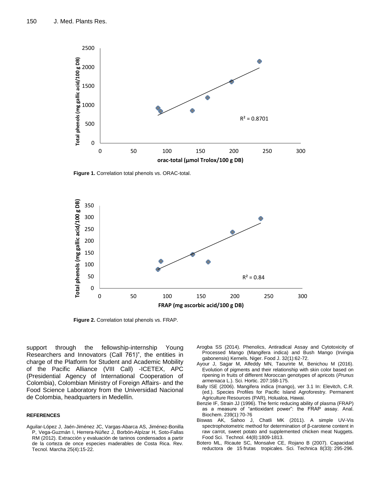

**Figure 1.** Correlation total phenols vs. ORAC-total.



**Figure 2.** Correlation total phenols vs. FRAP.

support through the fellowship-internship Young Researchers and Innovators (Call 761)", the entities in charge of the Platform for Student and Academic Mobility of the Pacific Alliance (VIII Call) -ICETEX, APC (Presidential Agency of International Cooperation of Colombia), Colombian Ministry of Foreign Affairs- and the Food Science Laboratory from the Universidad Nacional de Colombia, headquarters in Medellín.

#### **REFERENCES**

Aguilar-López J, Jaén-Jiménez JC, Vargas-Abarca AS, Jiménez-Bonilla P, Vega-Guzmán I, Herrera-Núñez J, Borbón-Alpízar H, Soto-Fallas RM (2012). Extracción y evaluación de taninos condensados a partir de la corteza de once especies maderables de Costa Rica. Rev. Tecnol. Marcha 25(4):15-22.

- Arogba SS (2014). Phenolics, Antiradical Assay and Cytotoxicity of Processed Mango (Mangifera indica) and Bush Mango (Irvingia gabonensis) Kernels. Niger. Food J. 32(1):62-72.
- Ayour J, Sagar M, Alfeddy MN, Taourirte M, Benichou M (2016). Evolution of pigments and their relationship with skin color based on ripening in fruits of different Moroccan genotypes of apricots (*Prunus armeniaca* L.). Sci. Hortic. 207:168-175.
- Bally ISE (2006). Mangifera indica (mango), ver 3.1 In: Elevitch, C.R. (ed.). Species Profiles for Pacific Island Agroforestry. Permanent Agriculture Resources (PAR), Holualoa, Hawai.
- Benzie IF, Strain JJ (1996). The ferric reducing ability of plasma (FRAP) as a measure of "antioxidant power": the FRAP assay. Anal. Biochem. 239(1):70-76
- Biswas AK, Sahoo J, Chatli MK (2011). A simple UV-Vis spectrophotometric method for determination of β-carotene content in raw carrot, sweet potato and supplemented chicken meat Nuggets. Food Sci. Technol. 44(8):1809-1813.
- Botero ML, Ricaute SC, Monsalve CE, Rojano B (2007). Capacidad reductora de 15 frutas tropicales. Sci. Technica 8(33): 295-296.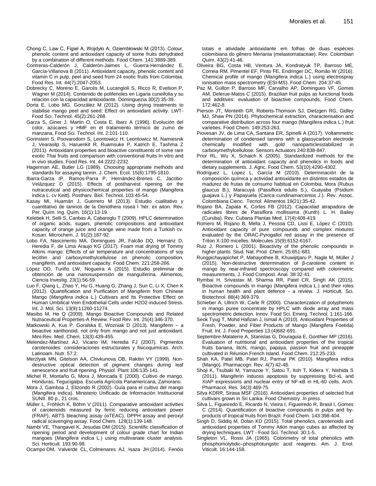- Chong C, Law C, Figiel A, Wojdyło A, Oziembłowski M (2013). Colour, phenolic content and antioxidant capacity of some fruits dehydrated by a combination of different methods. Food Chem. 141:3889-389.
- Contreras-Calderón J, Calderón-Jaimes L, Guerra-Hernández E, García-Villanova B (2011). Antioxidant capacity, phenolic content and vitamin C in pulp, peel and seed from 24 exotic fruits from Colombia. Food Res. Int. 44(7):2047-2053.
- Dobrecky C, Moreno E, Garcés M, Lucangioli S, Ricco R, Evelson P, Wagner M (2014). Contenido de polifenoles en Ligaria cuneifolia y su relación con la capacidad antioxidante. Dominguezia 30(2):35-39.
- Dorta E, Lobo MG, González M (2012). Using drying treatments to stabilise mango peel and seed: Effect on antioxidant activity. LWT-Food Sci. Technol. 45(2):261-268.
- Garza S, Giner J, Martin O, Costa E, Ibarz A (1996). Evolución del color, azúcares y HMF en el tratamiento térmico de zumo de manzana, Food Sci. Technol. Int. 2:101-110.
- Gorinstein S, Poovarodom S, Leontowicz H, Leontowicz M, Namiesnik J, Vearasilp S, Haruenkit R, Ruamsuke P, Katrich E, Tashma Z (2011). Antioxidant properties and bioactive constituents of some rare exotic Thai fruits and comparison with conventional fruits In vitro and in vivo studies. Food Res. Int. 44:2222-2232.
- Hagerman AE, Butler LG (1989). Choosing appropriate methods and standards for assaying tannin. J. Chem. Ecol. 15(6):1795-1810.
- Ibarra-Garza IP, Ramos-Parra P, Hernández-Brenes C, Jacobo-Velázquez D (2015). Effects of postharvest ripening on the nutraceutical and physicochemical properties of mango (Mangifera indica L. cv Keitt). Postharv. Biol. Technol. 103:45-54.
- Kasay MI, Huamán J, Guerrero M (2013). Estudio cualitativo y cuantitativo de taninos de la Oenothera rosea l 'hér. ex aiton. Rev. Per. Quím. Ing. Quím. 16(1):13-19.
- Kelebek H, Selli S, Canbas A, Cabaroglu T (2009). HPLC determination of organic acids, sugars, phenolic compositions and antioxidant capacity of orange juice and orange wine made from a Turkish cv. Kosan. Microchem. J. 91(2):187-92.
- Lobo FA, Nascimento MA, Domingues JR, Falcão DQ, Hernanz D, Heredia F, de Lima Araujo KG (2017). Foam mat drying of Tommy Atkins mango: Effects of air temperature and concentrations of soy lecithin and carboxymethylcellulose on phenolic composition, mangiferin, and antioxidant capacity. Food Chem. 221:258-266.
- López OD, Turiño LW, Nogueira A (2015). Estudio preliminar de obtención de una nanosuspensión de manguiferina. Alimentos, Ciencia Investig. 23(1):56-59.
- Luo F, Qiang L, Zhao Y, Hu G, Huang G, Zhang J, Sun C, Li X, Chen K (2012). Quantification and Purification of Mangiferin from Chinese Mango (*Mangifera indica* L.) Cultivars and Its Protective Effect on Human Umbilical Vein Endothelial Cells under H2O2-induced Stress. Int. J. Mol. Sci. 13(9):11260-11274.
- Masibo M, He Q (2009). Mango Bioactive Compounds and Related Nutraceutical Properties-A Review. Food Rev. Int. 25(4):346-370.
- Matkowski A, Kus P, Goralska E, Wozniak D (2013). Mangiferin a bioactive xanthonoid, not only from mango and not just antioxidant. Mini-Rev. Med. Chem. 13(3):439-455.
- Melendez-Martínez AJ, Vicario IM, Heredia FJ (2007). Pigmentos carotenoides: consideraciones estructurales y fisicoquímicas. Arch. Latinoam. Nutr. 57:2.
- Merzlyak MN, Gitelson AA, Chivkunova OB, Rakitin VY (1999). Nondestructive optical detection of pigment changes during leaf senescence and fruit ripening. Physiol. Plant 106:135-141.
- Michel R, Montaño G, Mora J, Moncada E (2000). Cultivo de mango. Honduras, Tegucigalpa. Escuela Agrícola Panamericana, Zamorano.
- Mora J, Gamboa J, Elizondo R (2002). Guía para el cultivo del mango (Mangifera indica). Ministerio Unificado de Información Institucional SUNII. 80 p., 21 cros.
- Müller L, Fröhlich K, Böhm V (2011). Comparative antioxidant activities of carotenoids measured by ferric reducing antioxidant power (FRAP), ABTS bleaching assay (αTEAC), DPPH assay and peroxyl radical scavenging assay. Food Chem. 129(1):139-148.
- Nambi VE, Thangavel K, Jesudas DM (2015). Scientific classification of ripening period and development of colour grade chart for Indian mangoes (*Mangifera indica* L.) using multivariate cluster analysis. Sci. Horticult. 193:90-98.
- Ocampo DM, Valverde CL, Colmenares AJ, Isaza JH (2014). Fenóis

totais e atividade antioxidante em folhas de duas espécies colombiana do gênero Meriania (melastomataceae). Rev. Colombian Quím. 43(2):41-46.

- Oliveira BG, Costa HB, Ventura JA, Kondratyuk TP, Barroso ME, Correia RM, Pimentel EF, Pinto FE, Endringer DC, Romão W (2016). Chemical profile of mango (Mangifera indica L.) using electrospray ionisation mass spectrometry (ESI-MS). Food Chem. 204:37-45.
- Paz M, Gúllon P, Barroso MF, Carvalho AP, Domingues VF, Gomes AM, Delerue-Matos C (2015). Brazilian fruit pulps as functional foods and additives: evaluation of bioactive compounds, Food Chem. 172:462-8.
- Pierson JT, Monteith GR, Roberts-Thomson SJ, Dietzgen RG, Gidley MJ, Shaw PN (2014). Phytochemical extraction, characterisation and comparative distribution across four mango (Mangifera indica L.) fruit varieties. Food Chem. 149:253-263.
- Piovesan JV, de Lima CA, Santana ER, Spinelli A (2017). Voltammetric determination of condensed tannins with a glassycarbon electrode chemically modified with gold nanoparticlesstabilized in carboxymethylcellulose. Sensors Actuators 240:838-847.
- Prior RL, Wu X, Schaich K (2005). Standardized methods for the determination of antioxidant capacity and phenolics in foods and dietary supplements. J. Agric. Food Chem. 53(10):4290-4302.
- Rodríguez L, Lopez L, García M (2010). Determinación de la composición química y actividad antioxidante en distintos estados de madurez de frutas de consumo habitual en Colombia, Mora (Rubus glaucus B.), Maracuyá (Passiflora edulis S.), Guayaba (Psidium guajava L.) y Papayuela (Carica cundinamarcensis J.). Rev. Assoc. Colombiana Cienc. Tecnol. Alimentos 19(21):35-42.
- Rojano BA, Zapata K, Cortes FB (2012). Capacidad atrapadora de radicales libres de Passiflora mollissima (Kunth) L. H. Bailey (Curuba). Rev. Cubana Plantas Med. 17(4):408-419.
- Romero M, Rojano B, Mella J, Pessoa CD, Lissi E, López C (2010). Antioxidant capacity of pure compounds and complex mixtures evaluated by the ORAC-Pyrogallol red assay in the presence of Triton X-100 micelles. Molecules 15(9):6152-6167.
- Ruiz J, Romero L (2001). Bioactivity of the phenolic compounds in higher plants. Stud. Nat. Prod. Chem. 25:651-681.
- Rungpichayapichet P, Mahayothee B, Khuwijitjaru P, Nagle M, Müller J (2015). Non-destructive determination of β-carotene content in mango by near-infrared spectroscopy compared with colorimetric measurements. J. Food Compost. Anal. 38:32-41.
- Rymbai H, Srivastav M, Sharma RR, Patel CR, Singh AK (2015). Bioactive compounds in mango (Mangifera indica L.) and their roles in human health and plant defence - a review. J. Horticult. Sci. Biotechnol. 88(4):369-379.
- Schieber A, Ullrich W, Carle R (2000). Characterization of polyphenols in mango puree concentrate by HPLC with diode array and mass spectrometric detection. Innov. Food Sci. Emerg. Technol. 1:161-166.
- Seok Tyug T, Mohd Hafizan J, Ismail A (2010). Antioxidant Properties of Fresh, Powder, and Fiber Products of Mango (Mangifera Foetida) Fruit. Int. J. Food Properties 13:(4)682-691.
- Septembre-Malaterre A, Stanislas G, Douraguia E, Gonthier MP (2016). Evaluation of nutritional and antioxidant properties of the tropical fruits banana, litchi, mango, papaya, passion fruit and pineapple cultivated in Réunion French Island. Food Chem. 212:25-233.
- Shah KA, Patel MB, Patel RJ, Parmar PK (2010). Mangifera indica (Mango). Pharmacogn. Rev. 4(7):42-48.
- Shoji K, Tsubaki M, Yamazoe Y, Satou T, Itoh T, Kidera Y, Nishida S (2011). Mangiferin induces apoptosis by suppressing Bcl-xL and XIAP expressions and nuclear entry of NF-κB in HL-60 cells. Arch. Pharmacol. Res. 34(3):469-75.
- Silva KDRR, Sirasa MSF (2016). Antioxidant properties of selected fruit cultivars grown in Sri Lanka. Food Chemistry. *In press*.
- Silva L, Figueiredo E, Ricardo N, Vieira I, Figueiredo R, Brasil I, Gomes C (2014). Quantification of bioactive compounds in pulps and byproducts of tropical fruits from Brazil. Food Chem. 143:398-404.
- Singh D, Siddiq M, Dolan KD (2015). Total phenolics, carotenoids and antioxidant properties of Tommy Atkin mango cubes as affected by drying techniques. LWT - Food Sci. Technol. 30:1-5.
- Singleton VL, Rossi JA (1965). Colorimetry of total phenolics with phosphomolybdic–phosphotungstic acid reagents. Am. J. Enol. Viticult. 16:144-158.